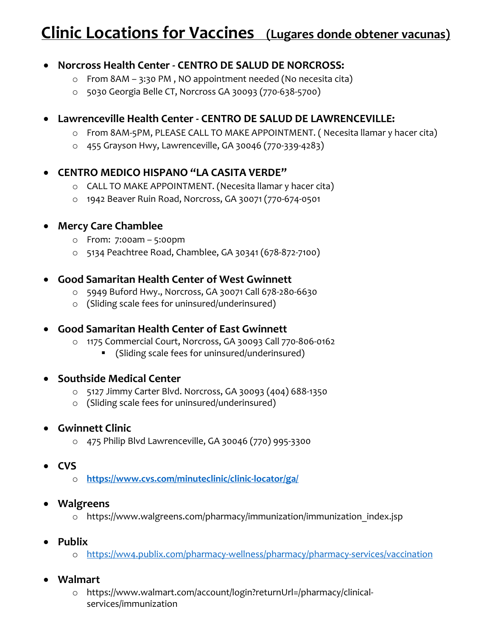## **Clinic Locations for Vaccines (Lugares donde obtener vacunas)**

## • **Norcross Health Center - CENTRO DE SALUD DE NORCROSS:**

- o From 8AM 3:30 PM , NO appointment needed (No necesita cita)
- o 5030 Georgia Belle CT, Norcross GA 30093 (770-638-5700)

## • **Lawrenceville Health Center - CENTRO DE SALUD DE LAWRENCEVILLE:**

- o From 8AM-5PM, PLEASE CALL TO MAKE APPOINTMENT. ( Necesita llamar y hacer cita)
- o 455 Grayson Hwy, Lawrenceville, GA 30046 (770-339-4283)

## • **CENTRO MEDICO HISPANO "LA CASITA VERDE"**

- o CALL TO MAKE APPOINTMENT. (Necesita llamar y hacer cita)
- o 1942 Beaver Ruin Road, Norcross, GA 30071 (770-674-0501

#### • **Mercy Care Chamblee**

- o From: 7:00am 5:00pm
- o 5134 Peachtree Road, Chamblee, GA 30341 (678-872-7100)

#### • **Good Samaritan Health Center of West Gwinnett**

- o 5949 Buford Hwy., Norcross, GA 30071 Call 678-280-6630
- o (Sliding scale fees for uninsured/underinsured)

## • **Good Samaritan Health Center of East Gwinnett**

- o 1175 Commercial Court, Norcross, GA 30093 Call 770-806-0162
	- (Sliding scale fees for uninsured/underinsured)

#### • **Southside Medical Center**

- o 5127 Jimmy Carter Blvd. Norcross, GA 30093 (404) 688-1350
- o (Sliding scale fees for uninsured/underinsured)

#### • **Gwinnett Clinic**

o 475 Philip Blvd Lawrenceville, GA 30046 (770) 995-3300

## • **CVS**

o **<https://www.cvs.com/minuteclinic/clinic-locator/ga/>**

#### • **Walgreens**

- o https://www.walgreens.com/pharmacy/immunization/immunization\_index.jsp
- **Publix** 
	- o <https://ww4.publix.com/pharmacy-wellness/pharmacy/pharmacy-services/vaccination>

## • **Walmart**

o https://www.walmart.com/account/login?returnUrl=/pharmacy/clinicalservices/immunization